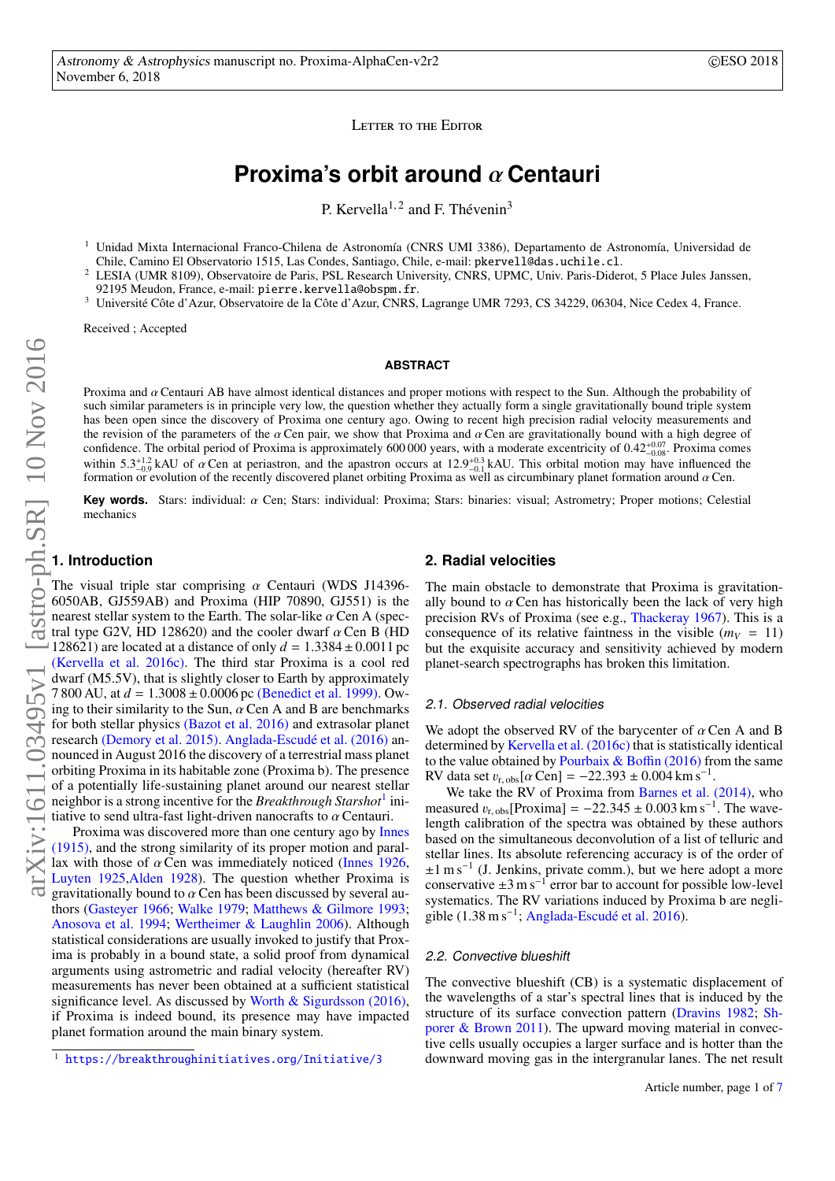LETTER TO THE EDITOR

# **Proxima's orbit around** α **Centauri**

P. Kervella<sup>1, 2</sup> and F. Thévenin<sup>3</sup>

<span id="page-0-1"></span><sup>1</sup> Unidad Mixta Internacional Franco-Chilena de Astronomía (CNRS UMI 3386), Departamento de Astronomía, Universidad de Chile, Camino El Observatorio 1515, Las Condes, Santiago, Chile, e-mail: pkervell@das.uchile.cl.

<sup>2</sup> LESIA (UMR 8109), Observatoire de Paris, PSL Research University, CNRS, UPMC, Univ. Paris-Diderot, 5 Place Jules Janssen, 92195 Meudon, France, e-mail: pierre.kervella@obspm.fr.

<sup>3</sup> Université Côte d'Azur, Observatoire de la Côte d'Azur, CNRS, Lagrange UMR 7293, CS 34229, 06304, Nice Cedex 4, France.

Received ; Accepted

# **ABSTRACT**

Proxima and αCentauri AB have almost identical distances and proper motions with respect to the Sun. Although the probability of such similar parameters is in principle very low, the question whether they actually form a single gravitationally bound triple system has been open since the discovery of Proxima one century ago. Owing to recent high precision radial velocity measurements and the revision of the parameters of the  $\alpha$  Cen pair, we show that Proxima and  $\alpha$  Cen are gravitationally bound with a high degree of confidence. The orbital period of Proxima is approximately 600 000 years, with a moderate excentricity of  $0.42_{-0.07}^{+0.07}$ . Proxima comes within 5.3<sup>+1.2</sup> kAU of  $\alpha$  Can at periostron, and the appetron occurs at 12.0 within  $5.3^{+1.2}_{-0.9}$  kAU of  $\alpha$  Cen at periastron, and the apastron occurs at 12.9 formation or evolution of the recently discovered planet orbiting Proxima as <sup>+0.3</sup> kAU. This orbital motion may have influenced the well as circumbinary planet formation around  $\alpha$  Cen formation or evolution of the recently discovered planet orbiting Proxima as well as circumbinary planet formation around  $\alpha$  Cen.

**Key words.** Stars: individual: α Cen; Stars: individual: Proxima; Stars: binaries: visual; Astrometry; Proper motions; Celestial mechanics

# **1. Introduction**

The visual triple star comprising  $\alpha$  Centauri (WDS J14396-6050AB, GJ559AB) and Proxima (HIP 70890, GJ551) is the nearest stellar system to the Earth. The solar-like  $\alpha$  Cen A (spec-<br>tral type G2V HD 128620) and the cooler dwarf  $\alpha$  Cen B (HD tral type G2V, HD 128620) and the cooler dwarf  $\alpha$  Cen B (HD 128621) are located at a distance of only  $d = 1.3384 + 0.0011$  pc 128621) are located at a distance of only  $d = 1.3384 \pm 0.0011$  pc<br>[\(Kervella et al. 2016c\).](http://adsabs.harvard.edu/abs/2016kervella) The third star Proxima is a cool red dwarf (M5.5V), that is slightly closer to Earth by approximately 7 800 AU, at  $d = 1.3008 \pm 0.0006$  pc [\(Benedict et al. 1999\).](http://adsabs.harvard.edu/abs/1999AJ....118.1086B) Ow-<br>ing to their similarity to the Sun,  $\alpha$  Cen A and B are benchmarks ing to their similarity to the Sun,  $\alpha$  Cen A and B are benchmarks for both stellar physics [\(Bazot et al. 2016\)](http://adsabs.harvard.edu/abs/2016MNRAS.460.1254B) and extrasolar planet research [\(Demory et al. 2015\).](http://adsabs.harvard.edu/abs/2015MNRAS.450.2043D) [Anglada-Escudé et al. \(2016\)](http://adsabs.harvard.edu/abs/2016Natur.536..437A) announced in August 2016 the discovery of a terrestrial mass planet orbiting Proxima in its habitable zone (Proxima b). The presence of a potentially life-sustaining planet around our nearest stellar neighbor is a strong incentive for the *Breakthrough Starshot*[1](#page-0-0) initiative to send ultra-fast light-driven nanocrafts to *a* Centauri.<br>Proxima was discovered more than one century ago by [Innes](http://adsabs.harvard.edu/abs/1915CiUO...30..235I)

[\(1915\),](http://adsabs.harvard.edu/abs/1915CiUO...30..235I) and the strong similarity of its proper motion and parallax with those of  $\alpha$  Cen was immediately noticed [\(Innes 1926,](http://adsabs.harvard.edu/abs/1926CiUO...70..390I) [Luyten 1925,](http://adsabs.harvard.edu/abs/1925BHarO.818....2L) [Alden 1928\)](http://adsabs.harvard.edu/abs/1928AJ.....39...20A). The question whether Proxima is gravitationally bound to αCen has been discussed by several au-thors [\(Gasteyer 1966;](http://adsabs.harvard.edu/abs/1966AJ.....71.1017G) [Walke 1979;](http://adsabs.harvard.edu/abs/1979ApJ...234L.205W) [Matthews & Gilmore 1993;](http://adsabs.harvard.edu/abs/1993MNRAS.261L...5M) [Anosova et al. 1994;](http://adsabs.harvard.edu/abs/1994A&A...292..115A) [Wertheimer & Laughlin 2006\)](http://adsabs.harvard.edu/abs/2006AJ....132.1995W). Although statistical considerations are usually invoked to justify that Proxima is probably in a bound state, a solid proof from dynamical arguments using astrometric and radial velocity (hereafter RV) measurements has never been obtained at a sufficient statistical significance level. As discussed by [Worth & Sigurdsson \(2016\),](http://adsabs.harvard.edu/abs/2016arXiv160703090W) if Proxima is indeed bound, its presence may have impacted planet formation around the main binary system.

# **2. Radial velocities**

The main obstacle to demonstrate that Proxima is gravitationally bound to  $\alpha$  Cen has historically been the lack of very high precision RVs of Proxima (see e.g., [Thackeray 1967\)](http://adsabs.harvard.edu/abs/1967Obs....87...79T). This is a consequence of its relative faintness in the visible  $(m_V = 11)$ but the exquisite accuracy and sensitivity achieved by modern planet-search spectrographs has broken this limitation.

#### 2.1. Observed radial velocities

We adopt the observed RV of the barycenter of  $\alpha$  Cen A and B determined by [Kervella et al. \(2016c\)](http://adsabs.harvard.edu/abs/2016kervella) that is statistically identical to the value obtained by Pourbaix  $&$  Boffin (2016) from the same RV data set  $v_{\rm r, obs}[\alpha \text{Cen}] = -22.393 \pm 0.004 \text{ km s}^{-1}$ .<br>We take the RV of Proxima from Barnes et al.

We take the RV of Proxima from [Barnes et al. \(2014\),](http://adsabs.harvard.edu/abs/2014MNRAS.439.3094B) who measured  $v_{\rm r,obs}$ [Proxima] = -22.345 ± 0.003 km s<sup>-1</sup>. The wave-<br>length calibration of the spectra was obtained by these authors length calibration of the spectra was obtained by these authors based on the simultaneous deconvolution of a list of telluric and stellar lines. Its absolute referencing accuracy is of the order of ±1 m s<sup>−</sup><sup>1</sup> (J. Jenkins, private comm.), but we here adopt a more conservative  $\pm 3$  m s<sup>-1</sup> error bar to account for possible low-level systematics. The RV variations induced by Proxima b are negli-gible (1.38 m s<sup>-1</sup>; [Anglada-Escudé et al. 2016\)](http://adsabs.harvard.edu/abs/2016Natur.536..437A).

#### 2.2. Convective blueshift

The convective blueshift (CB) is a systematic displacement of the wavelengths of a star's spectral lines that is induced by the structure of its surface convection pattern [\(Dravins 1982;](http://adsabs.harvard.edu/abs/1982ARA&A..20...61D) [Sh](http://adsabs.harvard.edu/abs/2011ApJ...733...30S)[porer & Brown 2011\)](http://adsabs.harvard.edu/abs/2011ApJ...733...30S). The upward moving material in convective cells usually occupies a larger surface and is hotter than the downward moving gas in the intergranular lanes. The net result

<span id="page-0-0"></span><sup>1</sup> <https://breakthroughinitiatives.org/Initiative/3>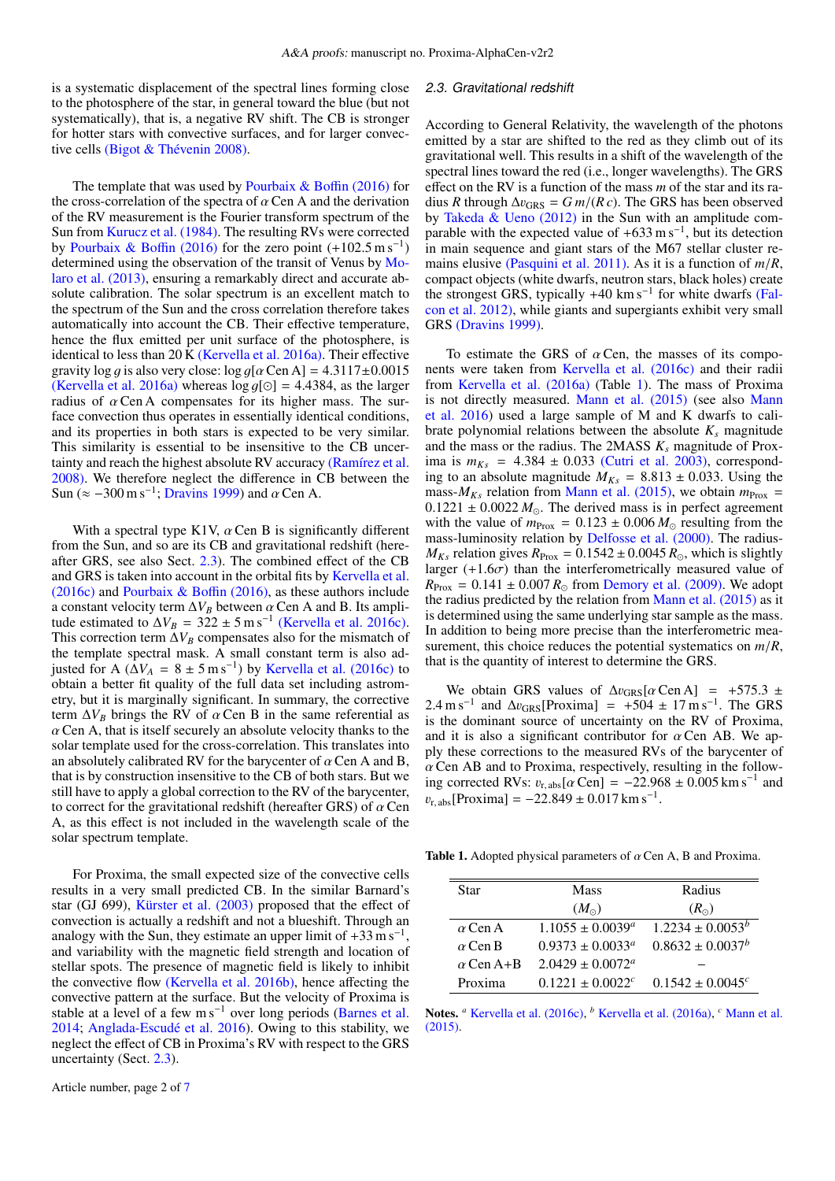is a systematic displacement of the spectral lines forming close to the photosphere of the star, in general toward the blue (but not systematically), that is, a negative RV shift. The CB is stronger for hotter stars with convective surfaces, and for larger convective cells [\(Bigot & Thévenin 2008\).](http://adsabs.harvard.edu/abs/2008sf2a.conf....3B)

The template that was used by Pourbaix  $\&$  Boffin (2016) for the cross-correlation of the spectra of  $\alpha$  Cen A and the derivation of the RV measurement is the Fourier transform spectrum of the Sun from [Kurucz et al. \(1984\).](http://adsabs.harvard.edu/abs/1984sfat.book.....K) The resulting RVs were corrected by [Pourbaix & Bo](http://adsabs.harvard.edu/abs/2016A&A...586A..90P)ffin (2016) for the zero point  $(+102.5 \text{ m s}^{-1})$ <br>determined using the observation of the transit of Venus by Modetermined using the observation of the transit of Venus by [Mo](http://adsabs.harvard.edu/abs/2013Msngr.153...22M)[laro et al. \(2013\),](http://adsabs.harvard.edu/abs/2013Msngr.153...22M) ensuring a remarkably direct and accurate absolute calibration. The solar spectrum is an excellent match to the spectrum of the Sun and the cross correlation therefore takes automatically into account the CB. Their effective temperature, hence the flux emitted per unit surface of the photosphere, is identical to less than 20 K [\(Kervella et al. 2016a\).](http://adsabs.harvard.edu/abs/2016bkervella) Their effective gravity log g is also very close:  $\log g[\alpha \text{Cen A}] = 4.3117 \pm 0.0015$ [\(Kervella et al. 2016a\)](http://adsabs.harvard.edu/abs/2016bkervella) whereas  $log q$ [ $\odot$ ] = 4.4384, as the larger radius of  $\alpha$  Cen A compensates for its higher mass. The surface convection thus operates in essentially identical conditions, and its properties in both stars is expected to be very similar. This similarity is essential to be insensitive to the CB uncertainty and reach the highest absolute RV accuracy [\(Ramírez et al.](http://adsabs.harvard.edu/abs/2008A&A...492..841R) [2008\).](http://adsabs.harvard.edu/abs/2008A&A...492..841R) We therefore neglect the difference in CB between the Sun ( $\approx$  -300 m s<sup>-1</sup>; [Dravins 1999\)](http://adsabs.harvard.edu/abs/1999ASPC..185..268D) and  $\alpha$  Cen A.

With a spectral type K1V,  $\alpha$  Cen B is significantly different from the Sun, and so are its CB and gravitational redshift (hereafter GRS, see also Sect. [2.3\)](#page-1-0). The combined effect of the CB and GRS is taken into account in the orbital fits by [Kervella et al.](http://adsabs.harvard.edu/abs/2016kervella) [\(2016c\)](http://adsabs.harvard.edu/abs/2016kervella) and [Pourbaix & Bo](http://adsabs.harvard.edu/abs/2016A&A...586A..90P)ffin (2016), as these authors include a constant velocity term  $\Delta V_B$  between  $\alpha$  Cen A and B. Its amplitude estimated to  $\Delta V_B = 322 \pm 5 \text{ m s}^{-1}$  [\(Kervella et al. 2016c\).](http://adsabs.harvard.edu/abs/2016kervella) This correction term  $\Delta V_B$  compensates also for the mismatch of the template spectral mask. A small constant term is also adjusted for A ( $\Delta V_A = 8 \pm 5$  m s<sup>-1</sup>) by [Kervella et al. \(2016c\)](http://adsabs.harvard.edu/abs/2016kervella) to obtain a better fit quality of the full data set including astrometry, but it is marginally significant. In summary, the corrective term  $\Delta V_B$  brings the RV of  $\alpha$  Cen B in the same referential as  $\alpha$  Cen A, that is itself securely an absolute velocity thanks to the solar template used for the cross-correlation. This translates into an absolutely calibrated RV for the barycenter of  $\alpha$  Cen A and B, that is by construction insensitive to the CB of both stars. But we still have to apply a global correction to the RV of the barycenter, to correct for the gravitational redshift (hereafter GRS) of  $\alpha$  Cen A, as this effect is not included in the wavelength scale of the solar spectrum template.

For Proxima, the small expected size of the convective cells results in a very small predicted CB. In the similar Barnard's star (GJ 699), [Kürster et al. \(2003\)](http://adsabs.harvard.edu/abs/2003A&A...403.1077K) proposed that the effect of convection is actually a redshift and not a blueshift. Through an analogy with the Sun, they estimate an upper limit of  $+33 \text{ m s}^{-1}$ , and variability with the magnetic field strength and location of stellar spots. The presence of magnetic field is likely to inhibit the convective flow [\(Kervella et al. 2016b\),](http://adsabs.harvard.edu/abs/2016A&A...593A.127K) hence affecting the convective pattern at the surface. But the velocity of Proxima is stable at a level of a few m s<sup>-1</sup> over long periods [\(Barnes et al.](http://adsabs.harvard.edu/abs/2014MNRAS.439.3094B) [2014;](http://adsabs.harvard.edu/abs/2014MNRAS.439.3094B) [Anglada-Escudé et al. 2016\)](http://adsabs.harvard.edu/abs/2016Natur.536..437A). Owing to this stability, we neglect the effect of CB in Proxima's RV with respect to the GRS uncertainty (Sect. [2.3\)](#page-1-0).

#### <span id="page-1-0"></span>2.3. Gravitational redshift

According to General Relativity, the wavelength of the photons emitted by a star are shifted to the red as they climb out of its gravitational well. This results in a shift of the wavelength of the spectral lines toward the red (i.e., longer wavelengths). The GRS effect on the RV is a function of the mass *m* of the star and its radius *R* through  $\Delta v_{\text{GRS}} = G m / (R c)$ . The GRS has been observed by [Takeda & Ueno \(2012\)](http://adsabs.harvard.edu/abs/2012SoPh..281..551T) in the Sun with an amplitude comparable with the expected value of  $+633 \text{ m s}^{-1}$ , but its detection in main sequence and giant stars of the M67 stellar cluster remains elusive [\(Pasquini et al. 2011\).](http://adsabs.harvard.edu/abs/2011A&A...526A.127P) As it is a function of *<sup>m</sup>*/*R*, compact objects (white dwarfs, neutron stars, black holes) create the strongest GRS, typically +40 km s<sup>-1</sup> for white dwarfs [\(Fal](http://adsabs.harvard.edu/abs/2012ApJ...757..116F)[con et al. 2012\),](http://adsabs.harvard.edu/abs/2012ApJ...757..116F) while giants and supergiants exhibit very small GRS [\(Dravins 1999\).](http://adsabs.harvard.edu/abs/1999ASPC..185..268D)

To estimate the GRS of  $\alpha$  Cen, the masses of its components were taken from [Kervella et al. \(2016c\)](http://adsabs.harvard.edu/abs/2016kervella) and their radii from [Kervella et al. \(2016a\)](http://adsabs.harvard.edu/abs/2016bkervella) (Table [1\)](#page-1-1). The mass of Proxima is not directly measured. [Mann et al. \(2015\)](http://adsabs.harvard.edu/abs/0004-637X-804-1-64) (see also [Mann](http://adsabs.harvard.edu/abs/2016ApJ...819...87M) [et al. 2016\)](http://adsabs.harvard.edu/abs/2016ApJ...819...87M) used a large sample of M and K dwarfs to calibrate polynomial relations between the absolute  $K_s$  magnitude and the mass or the radius. The 2MASS  $K_s$  magnitude of Proxima is  $m_{Ks}$  = 4.384  $\pm$  0.033 [\(Cutri et al. 2003\),](http://adsabs.harvard.edu/abs/2003yCat.2246....0C) corresponding to an absolute magnitude  $M_{Ks} = 8.813 \pm 0.033$ . Using the mass- $M_{Ks}$  relation from [Mann et al. \(2015\),](http://adsabs.harvard.edu/abs/0004-637X-804-1-64) we obtain  $m_{\text{Prox}} =$  $0.1221 \pm 0.0022 M_{\odot}$ . The derived mass is in perfect agreement with the value of  $m_{\text{Prox}} = 0.123 \pm 0.006 M_{\odot}$  resulting from the mass-luminosity relation by [Delfosse et al. \(2000\).](http://adsabs.harvard.edu/abs/2000A&A...364..217D) The radius- $M_{Ks}$  relation gives  $R_{\text{Prox}} = 0.1542 \pm 0.0045 R_{\odot}$ , which is slightly larger  $(+1.6\sigma)$  than the interferometrically measured value of  $R_{\text{Prox}} = 0.141 \pm 0.007 R_{\odot}$  from [Demory et al. \(2009\).](http://adsabs.harvard.edu/abs/2009A&A...505..205D) We adopt the radius predicted by the relation from [Mann et al. \(2015\)](http://adsabs.harvard.edu/abs/0004-637X-804-1-64) as it is determined using the same underlying star sample as the mass. In addition to being more precise than the interferometric measurement, this choice reduces the potential systematics on *<sup>m</sup>*/*R*, that is the quantity of interest to determine the GRS.

We obtain GRS values of  $\Delta v_{\text{GRS}}[\alpha \text{Cen A}]$  = +575.3 ±  $2.4 \text{ m s}^{-1}$  and  $\Delta v_{\text{GRS}}$ [Proxima] = +504 ± 17 m s<sup>-1</sup>. The GRS is the dominant source of uncertainty on the RV of Proxima is the dominant source of uncertainty on the RV of Proxima, and it is also a significant contributor for  $\alpha$  Cen AB. We apply these corrections to the measured RVs of the barycenter of  $\alpha$  Cen AB and to Proxima, respectively, resulting in the following corrected RVs:  $v_{\text{r, abs}}[\alpha \text{Cen}] = -22.968 \pm 0.005 \text{ km s}^{-1}$  and<br> $v_{\text{r}} = \frac{[{\text{Proving}}] - 22.849 \pm 0.017 \text{ km s}^{-1}}{2}$  $v_{\rm r, abs}$ [Proxima] = -22.849 ± 0.017 km s<sup>-1</sup>.

**Table 1.** Adopted physical parameters of  $\alpha$  Cen A, B and Proxima.

<span id="page-1-1"></span>

| Star             | Mass                        | Radius                           |  |
|------------------|-----------------------------|----------------------------------|--|
|                  | $(M_{\odot})$               | $(R_{\odot})$                    |  |
| $\alpha$ Cen A   | $1.1055 + 0.0039^a$         | $1.2234 \pm 0.0053^b$            |  |
| $\alpha$ Cen B   | $0.9373 \pm 0.0033^{\circ}$ | $0.8632 \pm 0.0037^b$            |  |
| $\alpha$ Cen A+B | $2.0429 \pm 0.0072^{\circ}$ |                                  |  |
| Proxima          | $0.1221 + 0.0022^c$         | $0.1542 \pm 0.0045$ <sup>c</sup> |  |

Notes. *<sup>a</sup>* [Kervella et al. \(2016c\),](http://adsabs.harvard.edu/abs/2016kervella) *<sup>b</sup>* [Kervella et al. \(2016a\),](http://adsabs.harvard.edu/abs/2016bkervella) *<sup>c</sup>* [Mann et al.](http://adsabs.harvard.edu/abs/0004-637X-804-1-64) [\(2015\).](http://adsabs.harvard.edu/abs/0004-637X-804-1-64)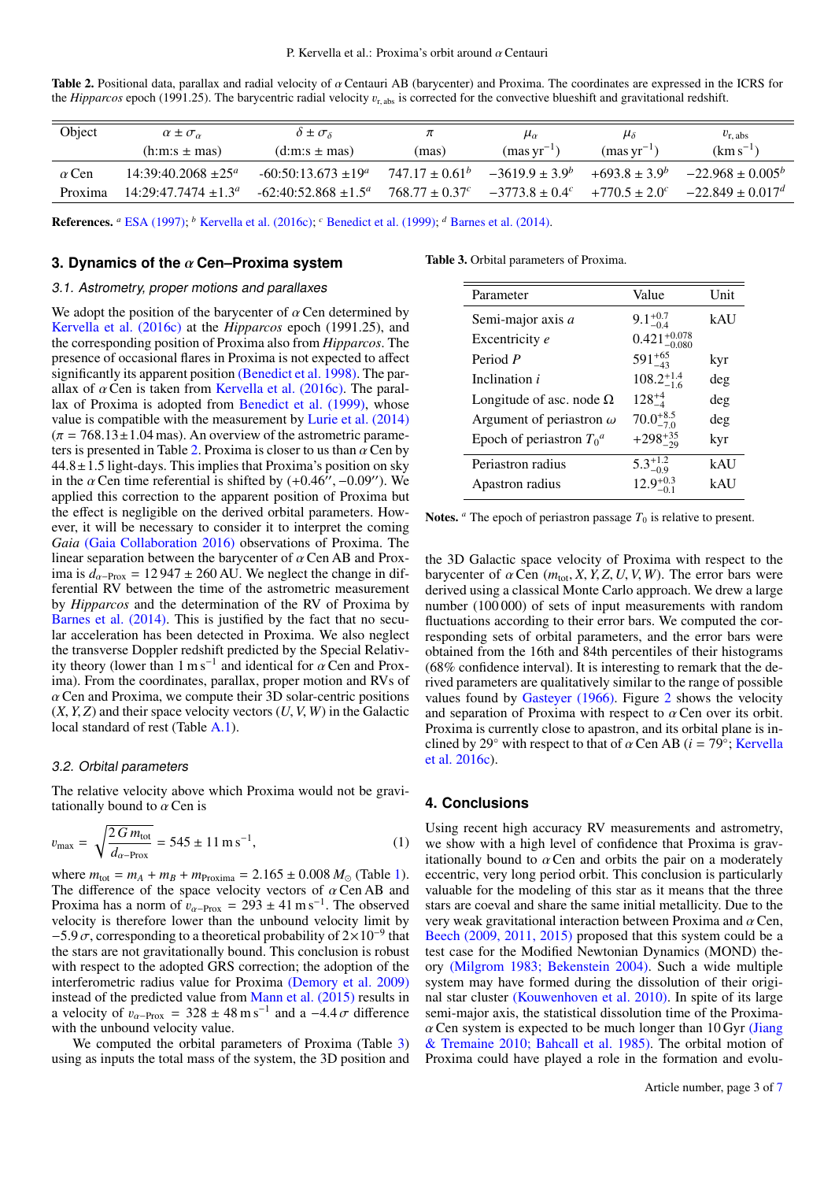<span id="page-2-0"></span>Table 2. Positional data, parallax and radial velocity of  $\alpha$  Centauri AB (barycenter) and Proxima. The coordinates are expressed in the ICRS for the *Hipparcos* epoch (1991.25). The barycentric radial velocity  $v_{r, abs}$  is corrected for the convective blueshift and gravitational redshift.

| Object       | $\alpha \pm \sigma_{\alpha}$ | $\delta \pm \sigma_{\delta}$ | π                 | $\mu_{\alpha}$               | $\mu_{\delta}$     | $v_{\rm r, abs}$    |
|--------------|------------------------------|------------------------------|-------------------|------------------------------|--------------------|---------------------|
|              | $(h:m:s \pm mas)$            | $(d:m:s \pm mas)$            | (mas)             | $(mas \, yr^{-1})$           | $(mas \, yr^{-1})$ | $(km s^{-1})$       |
| $\alpha$ Cen | $14:39:40.2068 + 25^a$       | $-60:50:13.673+19^a$         | $747.17 + 0.61^b$ | $-3619.9 + 3.9^b$            | $+693.8 + 3.9b$    | $-22.968 + 0.005b$  |
| Proxima      | $14:29:47.7474+1.3a$         | $-62:40:52.868 + 1.5^a$      | $768.77 + 0.37c$  | $-3773.8 + 0.4$ <sup>c</sup> | $+770.5 + 2.0^c$   | $-22.849 + 0.017^d$ |
|              |                              |                              |                   |                              |                    |                     |

References. *<sup>a</sup>* [ESA \(1997\);](http://adsabs.harvard.edu/abs/1997ESASP1200.....E) *<sup>b</sup>* [Kervella et al. \(2016c\);](http://adsabs.harvard.edu/abs/2016kervella) *<sup>c</sup>* [Benedict et al. \(1999\);](http://adsabs.harvard.edu/abs/1999AJ....118.1086B) *<sup>d</sup>* [Barnes et al. \(2014\).](http://adsabs.harvard.edu/abs/2014MNRAS.439.3094B)

### **3. Dynamics of the** α **Cen–Proxima system**

# 3.1. Astrometry, proper motions and parallaxes

We adopt the position of the barycenter of  $\alpha$  Cen determined by [Kervella et al. \(2016c\)](http://adsabs.harvard.edu/abs/2016kervella) at the *Hipparcos* epoch (1991.25), and the corresponding position of Proxima also from *Hipparcos*. The presence of occasional flares in Proxima is not expected to affect significantly its apparent position [\(Benedict et al. 1998\).](http://adsabs.harvard.edu/abs/1998ASPC..154.1212B) The parallax of  $\alpha$  Cen is taken from [Kervella et al. \(2016c\).](http://adsabs.harvard.edu/abs/2016kervella) The parallax of Proxima is adopted from [Benedict et al. \(1999\),](http://adsabs.harvard.edu/abs/1999AJ....118.1086B) whose value is compatible with the measurement by [Lurie et al. \(2014\)](http://adsabs.harvard.edu/abs/2014AJ....148...91L)  $(\pi = 768.13 \pm 1.04 \text{ mas})$ . An overview of the astrometric parame-ters is presented in Table [2.](#page-2-0) Proxima is closer to us than  $\alpha$  Cen by  $44.8 \pm 1.5$  light-days. This implies that Proxima's position on sky in the  $\alpha$  Cen time referential is shifted by  $(+0.46^{\gamma}, -0.09^{\gamma})$ . We applied this correction to the apparent position of Proxima but applied this correction to the apparent position of Proxima but the effect is negligible on the derived orbital parameters. However, it will be necessary to consider it to interpret the coming *Gaia* [\(Gaia Collaboration 2016\)](http://adsabs.harvard.edu/abs/2016arXiv160904153G) observations of Proxima. The linear separation between the barycenter of  $\alpha$  Cen AB and Proxima is  $d_{\alpha-\text{Prox}} = 12947 \pm 260 \text{ AU}$ . We neglect the change in differential RV between the time of the astrometric measurement by *Hipparcos* and the determination of the RV of Proxima by [Barnes et al. \(2014\).](http://adsabs.harvard.edu/abs/2014MNRAS.439.3094B) This is justified by the fact that no secular acceleration has been detected in Proxima. We also neglect the transverse Doppler redshift predicted by the Special Relativity theory (lower than  $1 \text{ m s}^{-1}$  and identical for  $\alpha$  Cen and Prox-<br>ima) From the coordinates parallax proper motion and RVs of ima). From the coordinates, parallax, proper motion and RVs of  $\alpha$  Cen and Proxima, we compute their 3D solar-centric positions  $(X, Y, Z)$  and their space velocity vectors  $(U, V, W)$  in the Galactic local standard of rest (Table [A.1\)](#page-6-0).

#### 3.2. Orbital parameters

The relative velocity above which Proxima would not be gravitationally bound to  $\alpha$  Cen is

$$
v_{\text{max}} = \sqrt{\frac{2 \, G \, m_{\text{tot}}}{d_{\alpha - \text{Prox}}}} = 545 \pm 11 \, \text{m s}^{-1},\tag{1}
$$

where  $m_{\text{tot}} = m_A + m_B + m_{\text{Proxima}} = 2.165 \pm 0.008 M_{\odot}$  (Table [1\)](#page-1-1). The difference of the space velocity vectors of  $\alpha$  Cen AB and Proxima has a norm of  $v_{\alpha-\text{Prox}} = 293 \pm 41 \text{ m s}^{-1}$ . The observed velocity is therefore lower than the unbound velocity limit by velocity is therefore lower than the unbound velocity limit by  $-5.9 \sigma$ , corresponding to a theoretical probability of  $2 \times 10^{-9}$  that the stars are not gravitationally bound. This conclusion is robust the stars are not gravitationally bound. This conclusion is robust with respect to the adopted GRS correction; the adoption of the interferometric radius value for Proxima [\(Demory et al. 2009\)](http://adsabs.harvard.edu/abs/2009A&A...505..205D) instead of the predicted value from [Mann et al. \(2015\)](http://adsabs.harvard.edu/abs/0004-637X-804-1-64) results in a velocity of  $v_{\alpha-\text{Prox}} = 328 \pm 48 \text{ m s}^{-1}$  and a  $-4.4 \sigma$  difference<br>with the unbound velocity value with the unbound velocity value.

We computed the orbital parameters of Proxima (Table [3\)](#page-2-1) using as inputs the total mass of the system, the 3D position and

Table 3. Orbital parameters of Proxima.

<span id="page-2-1"></span>

| Parameter                       | Value                     | Unit |
|---------------------------------|---------------------------|------|
| Semi-major axis a               | $9.1_{-0.4}^{+0.7}$       | kAU  |
| Excentricity e                  | $0.421_{-0.080}^{+0.078}$ |      |
| Period P                        | $591^{+65}_{-43}$         | kyr  |
| Inclination <i>i</i>            | $108.2^{+1.4}_{-1.6}$     | deg  |
| Longitude of asc. node $\Omega$ | $128^{+4}$                | deg  |
| Argument of periastron $\omega$ | $70.0^{+8.5}_{-7.0}$      | deg  |
| Epoch of periastron $T_0^a$     | $+298^{+35}_{-29}$        | kyr  |
| Periastron radius               | $5.3^{+1.2}_{-0.9}$       | kAU  |
| Apastron radius                 | $12.9^{+0.3}$             | kAU  |

Notes.  $\alpha$  The epoch of periastron passage  $T_0$  is relative to present.

the 3D Galactic space velocity of Proxima with respect to the barycenter of  $\alpha$  Cen ( $m_{\text{tot}}$ , *X*, *Y*, *Z*, *U*, *V*, *W*). The error bars were derived using a classical Monte Carlo approach. We drew a large number (100 000) of sets of input measurements with random fluctuations according to their error bars. We computed the corresponding sets of orbital parameters, and the error bars were obtained from the 16th and 84th percentiles of their histograms (68% confidence interval). It is interesting to remark that the derived parameters are qualitatively similar to the range of possible values found by [Gasteyer \(1966\).](http://adsabs.harvard.edu/abs/1966AJ.....71.1017G) Figure [2](#page-3-0) shows the velocity and separation of Proxima with respect to  $\alpha$  Cen over its orbit. Proxima is currently close to apastron, and its orbital plane is inclined by 29° with respect to that of  $\alpha$  Cen AB ( $i = 79^\circ$ ; [Kervella](http://adsabs.harvard.edu/abs/2016kervella)<br>et al. 2016c) [et al. 2016c\)](http://adsabs.harvard.edu/abs/2016kervella).

#### **4. Conclusions**

Using recent high accuracy RV measurements and astrometry, we show with a high level of confidence that Proxima is gravitationally bound to  $\alpha$  Cen and orbits the pair on a moderately eccentric, very long period orbit. This conclusion is particularly valuable for the modeling of this star as it means that the three stars are coeval and share the same initial metallicity. Due to the very weak gravitational interaction between Proxima and  $\alpha$  Cen, [Beech \(2009, 2011, 2015\)](http://adsabs.harvard.edu/abs/2009MNRAS.399L..21B, 2011Ap&SS.333..419B, beech2015) proposed that this system could be a test case for the Modified Newtonian Dynamics (MOND) theory [\(Milgrom 1983; Bekenstein 2004\).](http://adsabs.harvard.edu/abs/1983ApJ...270..365M, 2004PhRvD..70h3509B) Such a wide multiple system may have formed during the dissolution of their original star cluster [\(Kouwenhoven et al. 2010\).](http://adsabs.harvard.edu/abs/2010MNRAS.404.1835K) In spite of its large semi-major axis, the statistical dissolution time of the Proxima- $\alpha$  Cen system is expected to be much longer than 10 Gyr [\(Jiang](http://adsabs.harvard.edu/abs/ 2010MNRAS.401..977J,1985ApJ...290...15B) [& Tremaine 2010; Bahcall et al. 1985\).](http://adsabs.harvard.edu/abs/ 2010MNRAS.401..977J,1985ApJ...290...15B) The orbital motion of Proxima could have played a role in the formation and evolu-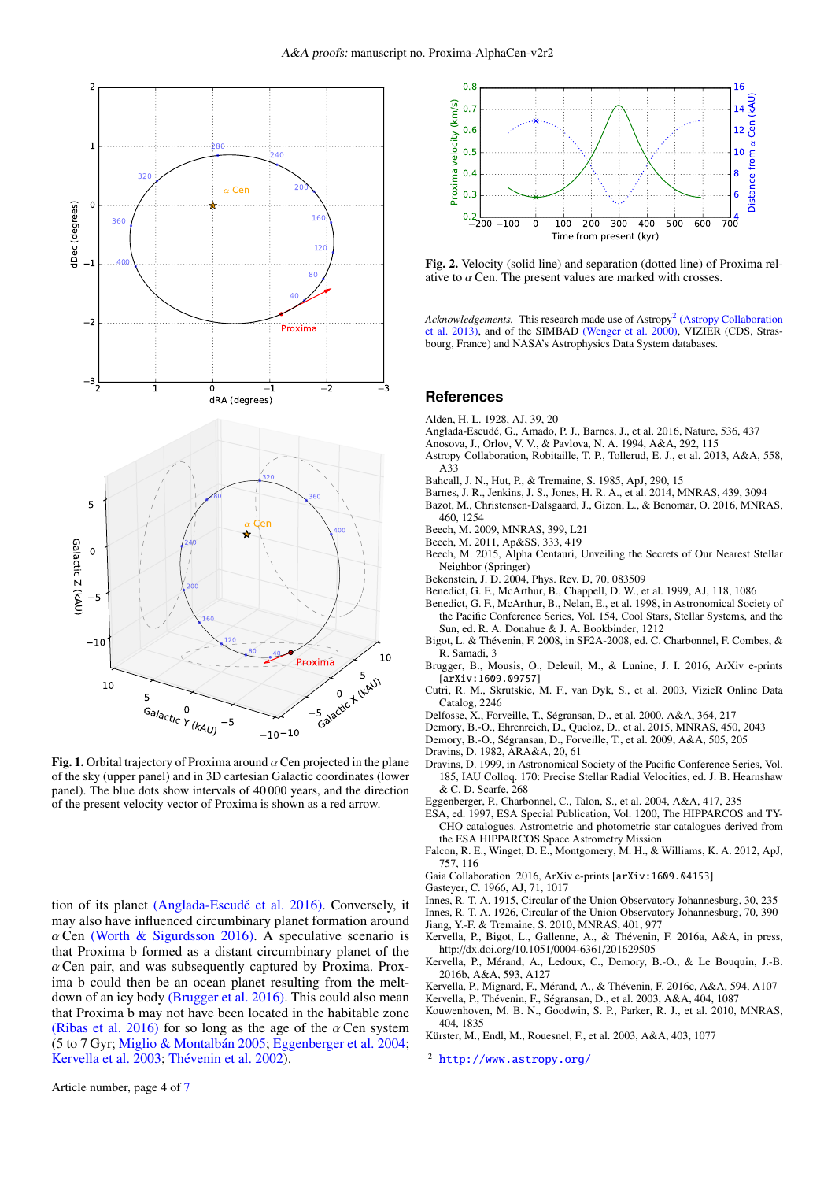

Fig. 1. Orbital trajectory of Proxima around  $\alpha$  Cen projected in the plane of the sky (upper panel) and in 3D cartesian Galactic coordinates (lower panel). The blue dots show intervals of 40 000 years, and the direction of the present velocity vector of Proxima is shown as a red arrow.

tion of its planet [\(Anglada-Escudé et al. 2016\).](http://adsabs.harvard.edu/abs/2016Natur.536..437A) Conversely, it may also have influenced circumbinary planet formation around  $\alpha$  Cen [\(Worth & Sigurdsson 2016\).](http://adsabs.harvard.edu/abs/2016arXiv160703090W) A speculative scenario is that Proxima b formed as a distant circumbinary planet of the  $\alpha$  Cen pair, and was subsequently captured by Proxima. Proxima b could then be an ocean planet resulting from the meltdown of an icy body [\(Brugger et al. 2016\).](http://adsabs.harvard.edu/abs/2016arXiv160909757B) This could also mean that Proxima b may not have been located in the habitable zone [\(Ribas et al. 2016\)](http://adsabs.harvard.edu/abs/2016arXiv160806813R) for so long as the age of the  $\alpha$  Cen system (5 to 7 Gyr; [Miglio & Montalbán 2005;](http://adsabs.harvard.edu/abs/2005A&A...441..615M) [Eggenberger et al. 2004;](http://adsabs.harvard.edu/abs/2004A&A...417..235E) [Kervella et al. 2003;](http://adsabs.harvard.edu/abs/2003A&A...404.1087K) [Thévenin et al. 2002\)](http://adsabs.harvard.edu/abs/thevenin02).



<span id="page-3-0"></span>Fig. 2. Velocity (solid line) and separation (dotted line) of Proxima relative to  $\alpha$  Cen. The present values are marked with crosses.

Acknowledgements. This research made use of Astropy<sup>[2](#page-3-1)</sup> [\(Astropy Collaboration](http://adsabs.harvard.edu/abs/2013A&A...558A..33A) [et al. 2013\),](http://adsabs.harvard.edu/abs/2013A&A...558A..33A) and of the SIMBAD [\(Wenger et al. 2000\),](http://adsabs.harvard.edu/abs/2000A&AS..143....9W) VIZIER (CDS, Strasbourg, France) and NASA's Astrophysics Data System databases.

### **References**

- Alden, H. L. 1928, AJ, 39, 20
- Anglada-Escudé, G., Amado, P. J., Barnes, J., et al. 2016, Nature, 536, 437
- Anosova, J., Orlov, V. V., & Pavlova, N. A. 1994, A&A, 292, 115
- Astropy Collaboration, Robitaille, T. P., Tollerud, E. J., et al. 2013, A&A, 558,  $A33$
- Bahcall, J. N., Hut, P., & Tremaine, S. 1985, ApJ, 290, 15
- Barnes, J. R., Jenkins, J. S., Jones, H. R. A., et al. 2014, MNRAS, 439, 3094
- Bazot, M., Christensen-Dalsgaard, J., Gizon, L., & Benomar, O. 2016, MNRAS, 460, 1254
- Beech, M. 2009, MNRAS, 399, L21
- Beech, M. 2011, Ap&SS, 333, 419
- Beech, M. 2015, Alpha Centauri, Unveiling the Secrets of Our Nearest Stellar Neighbor (Springer)
- Bekenstein, J. D. 2004, Phys. Rev. D, 70, 083509
- Benedict, G. F., McArthur, B., Chappell, D. W., et al. 1999, AJ, 118, 1086
- Benedict, G. F., McArthur, B., Nelan, E., et al. 1998, in Astronomical Society of the Pacific Conference Series, Vol. 154, Cool Stars, Stellar Systems, and the Sun, ed. R. A. Donahue & J. A. Bookbinder, 1212
- Bigot, L. & Thévenin, F. 2008, in SF2A-2008, ed. C. Charbonnel, F. Combes, & R. Samadi, 3
- Brugger, B., Mousis, O., Deleuil, M., & Lunine, J. I. 2016, ArXiv e-prints [arXiv:1609.09757]
- Cutri, R. M., Skrutskie, M. F., van Dyk, S., et al. 2003, VizieR Online Data Catalog, 2246
- Delfosse, X., Forveille, T., Ségransan, D., et al. 2000, A&A, 364, 217
- Demory, B.-O., Ehrenreich, D., Queloz, D., et al. 2015, MNRAS, 450, 2043
- Demory, B.-O., Ségransan, D., Forveille, T., et al. 2009, A&A, 505, 205
- Dravins, D. 1982, ARA&A, 20, 61
- Dravins, D. 1999, in Astronomical Society of the Pacific Conference Series, Vol. 185, IAU Colloq. 170: Precise Stellar Radial Velocities, ed. J. B. Hearnshaw & C. D. Scarfe, 268
- Eggenberger, P., Charbonnel, C., Talon, S., et al. 2004, A&A, 417, 235
- ESA, ed. 1997, ESA Special Publication, Vol. 1200, The HIPPARCOS and TY-CHO catalogues. Astrometric and photometric star catalogues derived from the ESA HIPPARCOS Space Astrometry Mission
- Falcon, R. E., Winget, D. E., Montgomery, M. H., & Williams, K. A. 2012, ApJ, 757, 116
- Gaia Collaboration. 2016, ArXiv e-prints [arXiv:1609.04153]
- Gasteyer, C. 1966, AJ, 71, 1017
- Innes, R. T. A. 1915, Circular of the Union Observatory Johannesburg, 30, 235
- Innes, R. T. A. 1926, Circular of the Union Observatory Johannesburg, 70, 390
- Jiang, Y.-F. & Tremaine, S. 2010, MNRAS, 401, 977
- Kervella, P., Bigot, L., Gallenne, A., & Thévenin, F. 2016a, A&A, in press, http://dx.doi.org/10.1051/0004-6361/201629505
- Kervella, P., Mérand, A., Ledoux, C., Demory, B.-O., & Le Bouquin, J.-B. 2016b, A&A, 593, A127
- Kervella, P., Mignard, F., Mérand, A., & Thévenin, F. 2016c, A&A, 594, A107
- Kervella, P., Thévenin, F., Ségransan, D., et al. 2003, A&A, 404, 1087
- Kouwenhoven, M. B. N., Goodwin, S. P., Parker, R. J., et al. 2010, MNRAS, 404, 1835
- Kürster, M., Endl, M., Rouesnel, F., et al. 2003, A&A, 403, 1077
- <span id="page-3-1"></span><sup>2</sup> <http://www.astropy.org/>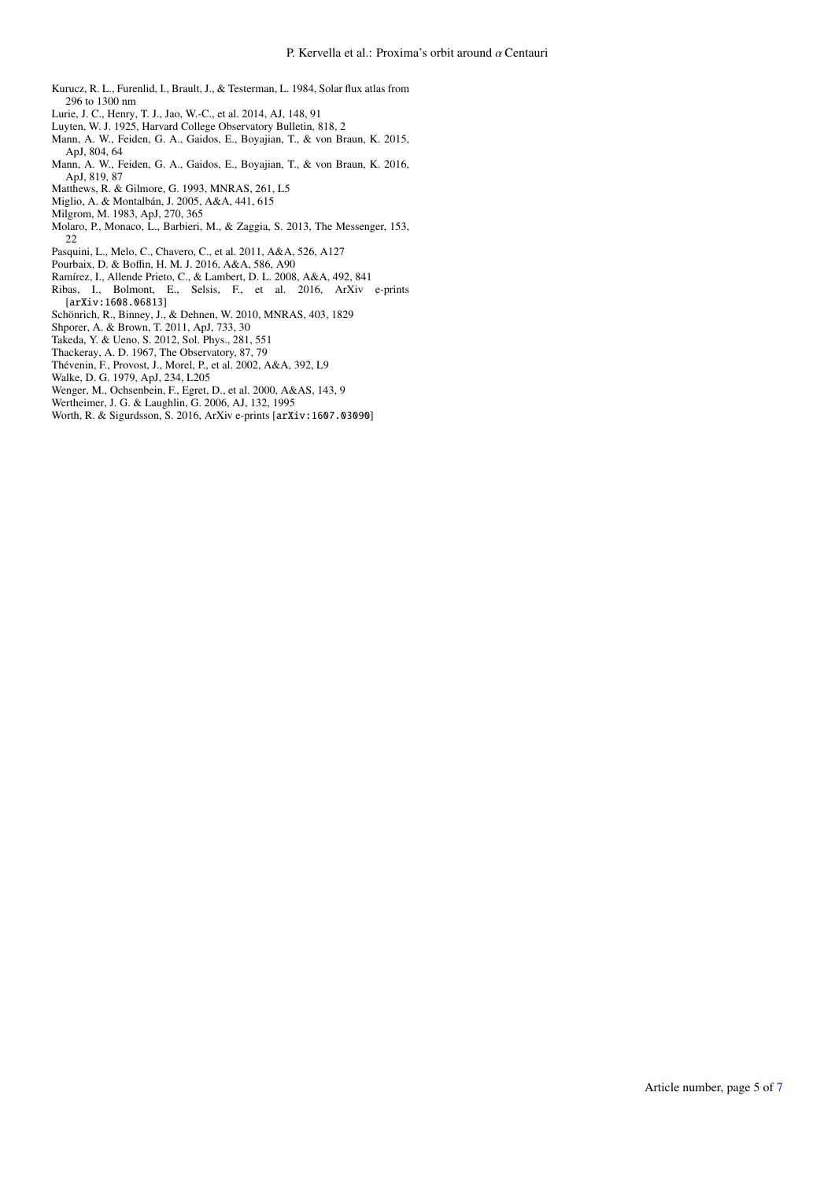- Kurucz, R. L., Furenlid, I., Brault, J., & Testerman, L. 1984, Solar flux atlas from 296 to 1300 nm
- Lurie, J. C., Henry, T. J., Jao, W.-C., et al. 2014, AJ, 148, 91
- Luyten, W. J. 1925, Harvard College Observatory Bulletin, 818, 2
- Mann, A. W., Feiden, G. A., Gaidos, E., Boyajian, T., & von Braun, K. 2015, ApJ, 804, 64
- Mann, A. W., Feiden, G. A., Gaidos, E., Boyajian, T., & von Braun, K. 2016, ApJ, 819, 87
- Matthews, R. & Gilmore, G. 1993, MNRAS, 261, L5
- Miglio, A. & Montalbán, J. 2005, A&A, 441, 615
- Milgrom, M. 1983, ApJ, 270, 365
- Molaro, P., Monaco, L., Barbieri, M., & Zaggia, S. 2013, The Messenger, 153, 22
- Pasquini, L., Melo, C., Chavero, C., et al. 2011, A&A, 526, A127
- Pourbaix, D. & Boffin, H. M. J. 2016, A&A, 586, A90
- Ramírez, I., Allende Prieto, C., & Lambert, D. L. 2008, A&A, 492, 841
- Ribas, I., Bolmont, E., Selsis, F., et al. 2016, ArXiv e-prints [arXiv:1608.06813]
- Schönrich, R., Binney, J., & Dehnen, W. 2010, MNRAS, 403, 1829
- Shporer, A. & Brown, T. 2011, ApJ, 733, 30
- Takeda, Y. & Ueno, S. 2012, Sol. Phys., 281, 551
- Thackeray, A. D. 1967, The Observatory, 87, 79
- Thévenin, F., Provost, J., Morel, P., et al. 2002, A&A, 392, L9
- Walke, D. G. 1979, ApJ, 234, L205
- Wenger, M., Ochsenbein, F., Egret, D., et al. 2000, A&AS, 143, 9
- Wertheimer, J. G. & Laughlin, G. 2006, AJ, 132, 1995
- Worth, R. & Sigurdsson, S. 2016, ArXiv e-prints [arXiv:1607.03090]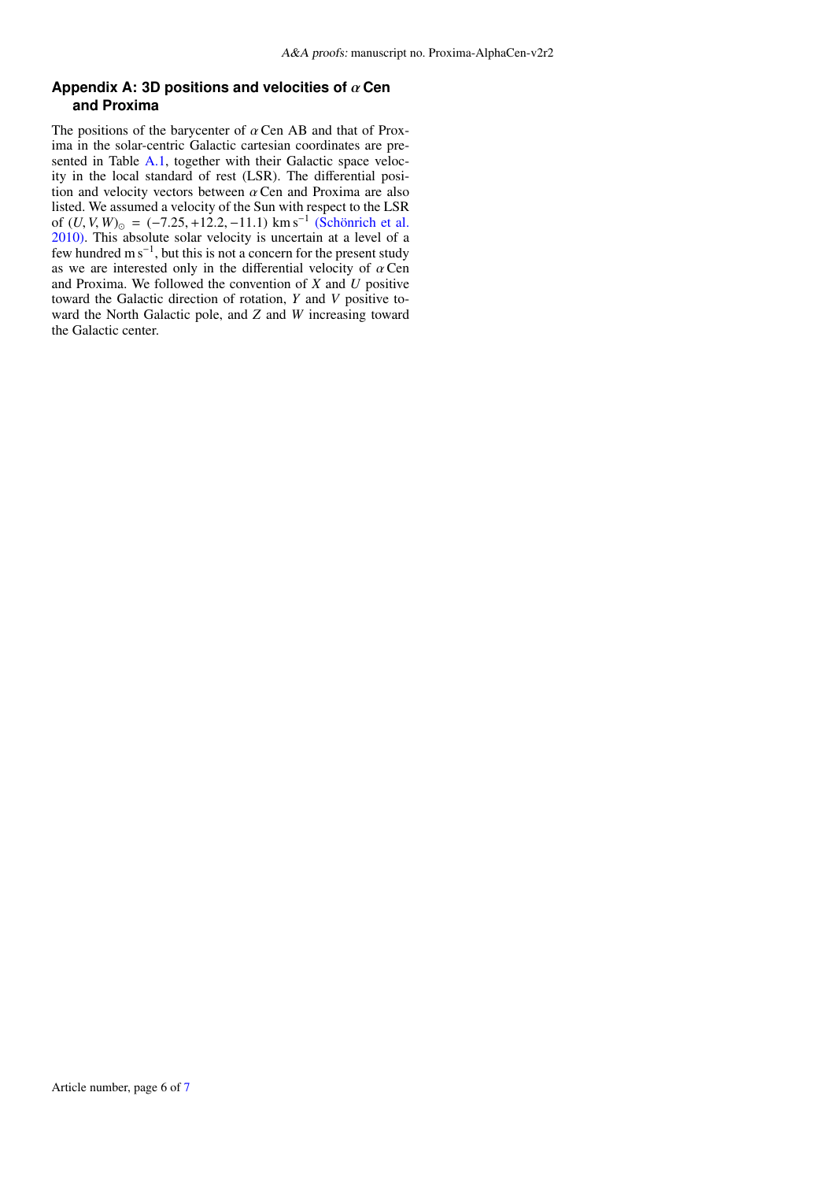# **Appendix A: 3D positions and velocities of** α **Cen and Proxima**

The positions of the barycenter of  $\alpha$  Cen AB and that of Proxima in the solar-centric Galactic cartesian coordinates are pre-sented in Table [A.1,](#page-6-0) together with their Galactic space velocity in the local standard of rest (LSR). The differential position and velocity vectors between  $\alpha$  Cen and Proxima are also listed. We assumed a velocity of the Sun with respect to the LSR of  $(U, V, W)_{\odot} = (-7.25, +12.2, -11.1)$  km s<sup>-1</sup> [\(Schönrich et al.](http://adsabs.harvard.edu/abs/2010MNRAS.403.1829S) 2010) This absolute solar velocity is uncertain at a level of a [2010\).](http://adsabs.harvard.edu/abs/2010MNRAS.403.1829S) This absolute solar velocity is uncertain at a level of a few hundred m s−<sup>1</sup> , but this is not a concern for the present study as we are interested only in the differential velocity of  $\alpha$  Cen and Proxima. We followed the convention of *X* and *U* positive toward the Galactic direction of rotation, *Y* and *V* positive toward the North Galactic pole, and *Z* and *W* increasing toward the Galactic center.